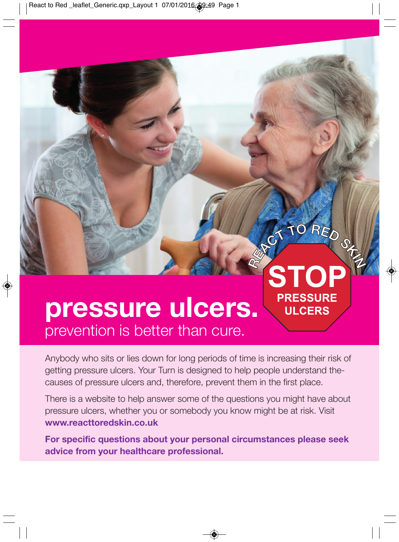React to Red \_leaflet\_Generic.qxp\_Layout 1 07/01/2016 39:49 Page 1

## **pressure ulcers.** prevention is better than cure.

♦

Anybody who sits or lies down for long periods of time is increasing their risk of getting pressure ulcers. Your Turn is designed to help people understand thecauses of pressure ulcers and, therefore, prevent them in the first place.

RETORED STE

**PRESSURE ULCERS** 

There is a website to help answer some of the questions you might have about pressure ulcers, whether you or somebody you know might be at risk. Visit **www.reacttoredskin.co.uk**

**For specific questions about your personal circumstances please seek advice from your healthcare professional.**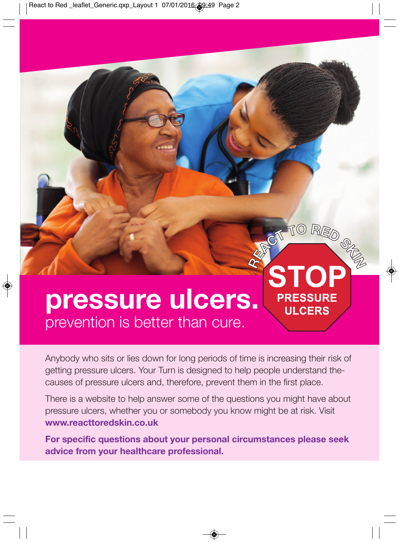React to Red \_leaflet\_Generic.qxp\_Layout 1 07/01/2016 09:49 Page 2

### **pressure ulcers.** prevention is better than cure.

♦

Anybody who sits or lies down for long periods of time is increasing their risk of getting pressure ulcers. Your Turn is designed to help people understand thecauses of pressure ulcers and, therefore, prevent them in the first place.

CT TO RED OF

**ST** 

**PRESSURE ULCERS** 

 $\bigcirc$ 

RES

There is a website to help answer some of the questions you might have about pressure ulcers, whether you or somebody you know might be at risk. Visit **www.reacttoredskin.co.uk**

**For specific questions about your personal circumstances please seek advice from your healthcare professional.**